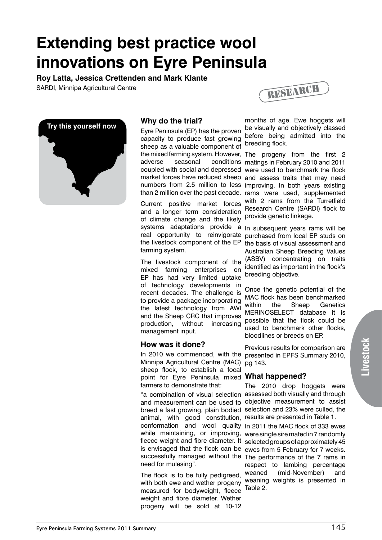# **Extending best practice wool innovations on Eyre Peninsula**

**Roy Latta, Jessica Crettenden and Mark Klante**

SARDI, Minnipa Agricultural Centre





# **Why do the trial?**

Eyre Peninsula (EP) has the proven capacity to produce fast growing sheep as a valuable component of

Current positive market forces and a longer term consideration of climate change and the likely systems adaptations provide real opportunity to reinvigorate the livestock component of the EP the basis of visual assessment and farming system.

The livestock component of the mixed farming enterprises on EP has had very limited uptake of technology developments in recent decades. The challenge is to provide a package incorporating the latest technology from AWI and the Sheep CRC that improves production, without increasing management input.

# **How was it done?**

In 2010 we commenced, with the presented in EPFS Summary 2010, Minnipa Agricultural Centre (MAC) sheep flock, to establish a focal point for Eyre Peninsula mixed **What happened?**  farmers to demonstrate that:

animal, with good constitution, results are presented in Table 1. conformation and wool quality In 2011 the MAC flock of 333 ewes while maintaining, or improving, were single sire mated in 7 randomly fleece weight and fibre diameter. It selected groups of approximately 45 is envisaged that the flock can be ewes from 5 February for 7 weeks. successfully managed without the The performance of the 7 rams in need for mulesing".

The flock is to be fully pedigreed, with both ewe and wether progeny measured for bodyweight, fleece weight and fibre diameter. Wether progeny will be sold at 10-12

months of age. Ewe hoggets will be visually and objectively classed before being admitted into the breeding flock.

the mixed farming system. However, The progeny from the first 2 adverse seasonal conditions matings in February 2010 and 2011 coupled with social and depressed were used to benchmark the flock market forces have reduced sheep and assess traits that may need numbers from 2.5 million to less improving. In both years existing than 2 million over the past decade. rams were used, supplemented with 2 rams from the Turretfield Research Centre (SARDI) flock to provide genetic linkage.

> a In subsequent years rams will be purchased from local EP studs on Australian Sheep Breeding Values (ASBV) concentrating on traits identified as important in the flock's breeding objective.

Once the genetic potential of the MAC flock has been benchmarked within the Sheep Genetics MERINOSELECT database it is possible that the flock could be used to benchmark other flocks, bloodlines or breeds on EP.

Previous results for comparison are pg 143.

"a combination of visual selection assessed both visually and through and measurement can be used to objective measurement to assist breed a fast growing, plain bodied selection and 23% were culled, the The 2010 drop hoggets were

> respect to lambing percentage weaned (mid-November) and weaning weights is presented in Table 2.